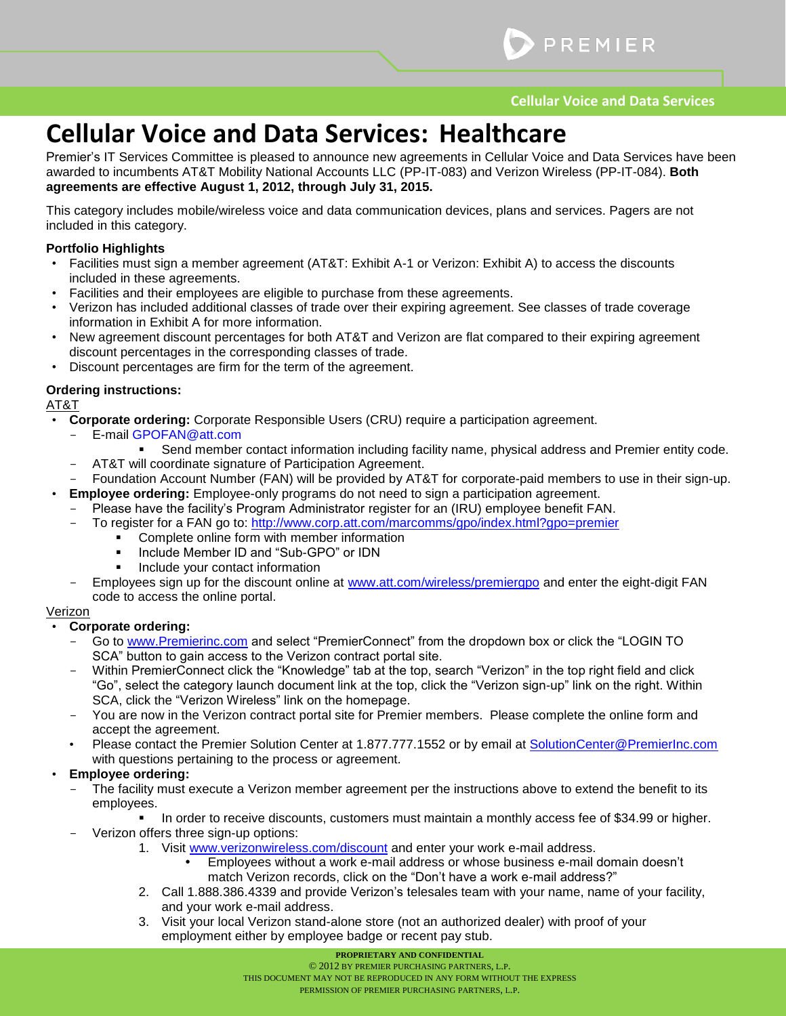# **Cellular Voice and Data Services: Healthcare**

Premier's IT Services Committee is pleased to announce new agreements in Cellular Voice and Data Services have been awarded to incumbents AT&T Mobility National Accounts LLC (PP-IT-083) and Verizon Wireless (PP-IT-084). **Both agreements are effective August 1, 2012, through July 31, 2015.**

This category includes mobile/wireless voice and data communication devices, plans and services. Pagers are not included in this category.

#### **Portfolio Highlights**

- Facilities must sign a member agreement (AT&T: Exhibit A-1 or Verizon: Exhibit A) to access the discounts included in these agreements.
- Facilities and their employees are eligible to purchase from these agreements.
- Verizon has included additional classes of trade over their expiring agreement. See classes of trade coverage information in Exhibit A for more information.
- New agreement discount percentages for both AT&T and Verizon are flat compared to their expiring agreement discount percentages in the corresponding classes of trade.
- Discount percentages are firm for the term of the agreement.

#### **Ordering instructions:**

AT&T

- **Corporate ordering:** Corporate Responsible Users (CRU) require a participation agreement.
	- E-mail GPOFAN@att.com
		- Send member contact information including facility name, physical address and Premier entity code.
		- AT&T will coordinate signature of Participation Agreement.
- Foundation Account Number (FAN) will be provided by AT&T for corporate-paid members to use in their sign-up.
- **Employee ordering:** Employee-only programs do not need to sign a participation agreement.
	- Please have the facility's Program Administrator register for an (IRU) employee benefit FAN.
	- To register for a FAN go to: http://www.corp.att.com/marcomms/gpo/index.html?gpo=premier
		- **Complete online form with member information**
		- Include Member ID and "Sub-GPO" or IDN
		- Include your contact information
	- Employees sign up for the discount online at [www.att.com/wireless/premiergpo](http://www.att.com/wireless/premiergpo) and enter the eight-digit FAN code to access the online portal.

#### Verizon

#### • **Corporate ordering:**

- Go to [www.Premierinc.com](http://www.premierinc.com/) and select "PremierConnect" from the dropdown box or click the "LOGIN TO SCA" button to gain access to the Verizon contract portal site.
- Within PremierConnect click the "Knowledge" tab at the top, search "Verizon" in the top right field and click "Go", select the category launch document link at the top, click the "Verizon sign-up" link on the right. Within SCA, click the "Verizon Wireless" link on the homepage.
- You are now in the Verizon contract portal site for Premier members. Please complete the online form and accept the agreement.
- Please contact the Premier Solution Center at 1.877.777.1552 or by email at [SolutionCenter@PremierInc.com](mailto:SolutionCenter@PremierInc.com) with questions pertaining to the process or agreement.

#### • **Employee ordering:**

- The facility must execute a Verizon member agreement per the instructions above to extend the benefit to its employees.
	- In order to receive discounts, customers must maintain a monthly access fee of \$34.99 or higher.
- Verizon offers three sign-up options:
	- 1. Visit [www.verizonwireless.com/discount](http://www.verizonwireless.com/discount) and enter your work e-mail address.
		- Employees without a work e-mail address or whose business e-mail domain doesn't match Verizon records, click on the "Don't have a work e-mail address?"
	- 2. Call 1.888.386.4339 and provide Verizon's telesales team with your name, name of your facility, and your work e-mail address.
	- 3. Visit your local Verizon stand-alone store (not an authorized dealer) with proof of your employment either by employee badge or recent pay stub.